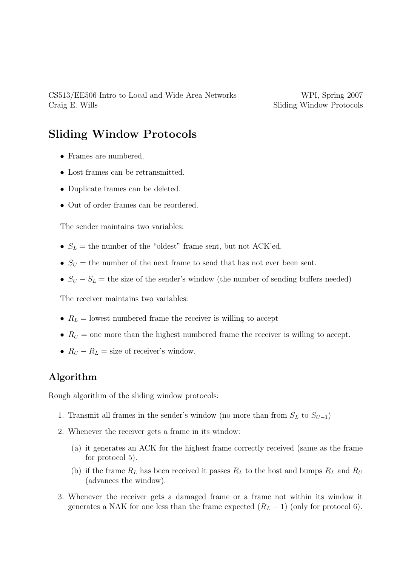## Sliding Window Protocols

- Frames are numbered.
- Lost frames can be retransmitted.
- Duplicate frames can be deleted.
- Out of order frames can be reordered.

The sender maintains two variables:

- $S_L$  = the number of the "oldest" frame sent, but not ACK'ed.
- $S_U =$  the number of the next frame to send that has not ever been sent.
- $S_U S_L$  = the size of the sender's window (the number of sending buffers needed)

The receiver maintains two variables:

- $R_L$  = lowest numbered frame the receiver is willing to accept
- $R_U$  = one more than the highest numbered frame the receiver is willing to accept.
- $R_U R_L =$  size of receiver's window.

## Algorithm

Rough algorithm of the sliding window protocols:

- 1. Transmit all frames in the sender's window (no more than from  $S_L$  to  $S_{U-1}$ )
- 2. Whenever the receiver gets a frame in its window:
	- (a) it generates an ACK for the highest frame correctly received (same as the frame for protocol 5).
	- (b) if the frame  $R_L$  has been received it passes  $R_L$  to the host and bumps  $R_L$  and  $R_U$ (advances the window).
- 3. Whenever the receiver gets a damaged frame or a frame not within its window it generates a NAK for one less than the frame expected  $(R_L - 1)$  (only for protocol 6).